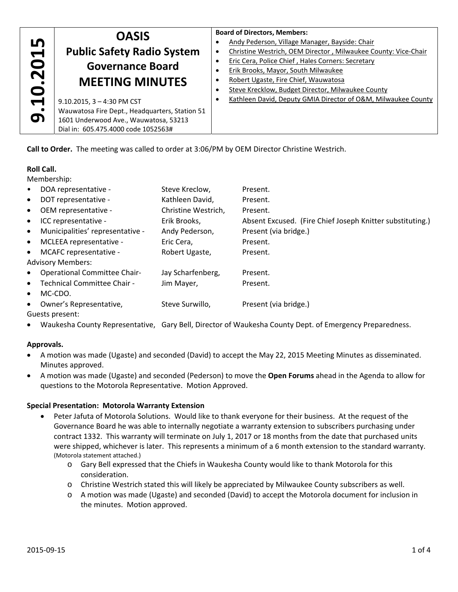|                                           | <b>OASIS</b>                                   | <b>Board of Directors, Members:</b>                            |
|-------------------------------------------|------------------------------------------------|----------------------------------------------------------------|
| LŊ                                        |                                                | Andy Pederson, Village Manager, Bayside: Chair                 |
| $\overline{\phantom{a}}$                  | <b>Public Safety Radio System</b>              | Christine Westrich, OEM Director, Milwaukee County: Vice-Chair |
| $\bullet$<br>$\overline{\mathbf{N}}$<br>0 | <b>Governance Board</b>                        | Eric Cera, Police Chief, Hales Corners: Secretary              |
|                                           |                                                | Erik Brooks, Mayor, South Milwaukee                            |
|                                           | <b>MEETING MINUTES</b>                         | Robert Ugaste, Fire Chief, Wauwatosa                           |
|                                           |                                                | Steve Krecklow, Budget Director, Milwaukee County              |
| $\blacktriangleright$                     | $9.10.2015$ , 3 - 4:30 PM CST                  | Kathleen David, Deputy GMIA Director of O&M, Milwaukee County  |
| $\bullet$                                 | Wauwatosa Fire Dept., Headquarters, Station 51 |                                                                |
| თ                                         | 1601 Underwood Ave., Wauwatosa, 53213          |                                                                |
|                                           | Dial in: 605.475.4000 code 1052563#            |                                                                |
|                                           |                                                |                                                                |

**Call to Order.** The meeting was called to order at 3:06/PM by OEM Director Christine Westrich.

## **Roll Call.**

Membership:

| DOA representative -<br>$\bullet$                | Steve Kreclow,      | Present.                                                  |
|--------------------------------------------------|---------------------|-----------------------------------------------------------|
| DOT representative -<br>$\bullet$                | Kathleen David,     | Present.                                                  |
| OEM representative -<br>$\bullet$                | Christine Westrich, | Present.                                                  |
| ICC representative -<br>$\bullet$                | Erik Brooks,        | Absent Excused. (Fire Chief Joseph Knitter substituting.) |
| Municipalities' representative -<br>$\bullet$    | Andy Pederson,      | Present (via bridge.)                                     |
| MCLEEA representative -<br>$\bullet$             | Eric Cera,          | Present.                                                  |
| MCAFC representative -<br>$\bullet$              | Robert Ugaste,      | Present.                                                  |
| <b>Advisory Members:</b>                         |                     |                                                           |
| <b>Operational Committee Chair-</b><br>$\bullet$ | Jay Scharfenberg,   | Present.                                                  |
| Technical Committee Chair -<br>$\bullet$         | Jim Mayer,          | Present.                                                  |
| MC-CDO.<br>$\bullet$                             |                     |                                                           |
| Owner's Representative,<br>$\bullet$             | Steve Surwillo,     | Present (via bridge.)                                     |
| Guests present:                                  |                     |                                                           |

Waukesha County Representative, Gary Bell, Director of Waukesha County Dept. of Emergency Preparedness.

# **Approvals.**

- A motion was made (Ugaste) and seconded (David) to accept the May 22, 2015 Meeting Minutes as disseminated. Minutes approved.
- A motion was made (Ugaste) and seconded (Pederson) to move the **Open Forums** ahead in the Agenda to allow for questions to the Motorola Representative. Motion Approved.

#### **Special Presentation: Motorola Warranty Extension**

- Peter Jafuta of Motorola Solutions. Would like to thank everyone for their business. At the request of the Governance Board he was able to internally negotiate a warranty extension to subscribers purchasing under contract 1332. This warranty will terminate on July 1, 2017 or 18 months from the date that purchased units were shipped, whichever is later. This represents a minimum of a 6 month extension to the standard warranty. (Motorola statement attached.)
	- o Gary Bell expressed that the Chiefs in Waukesha County would like to thank Motorola for this consideration.
	- o Christine Westrich stated this will likely be appreciated by Milwaukee County subscribers as well.
	- o A motion was made (Ugaste) and seconded (David) to accept the Motorola document for inclusion in the minutes. Motion approved.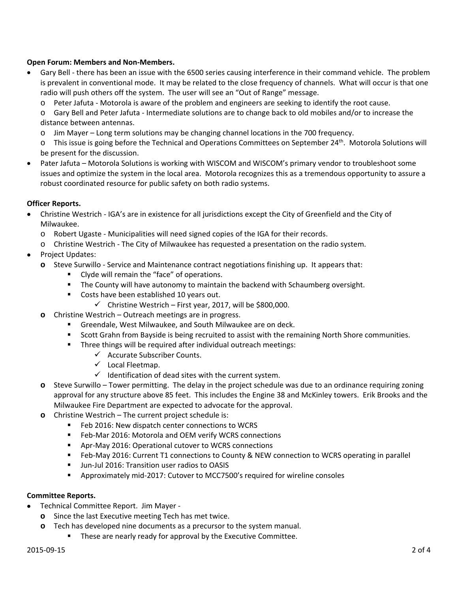## **Open Forum: Members and Non‐Members.**

- Gary Bell ‐ there has been an issue with the 6500 series causing interference in their command vehicle. The problem is prevalent in conventional mode. It may be related to the close frequency of channels. What will occur is that one radio will push others off the system. The user will see an "Out of Range" message.
	- o Peter Jafuta ‐ Motorola is aware of the problem and engineers are seeking to identify the root cause.

o Gary Bell and Peter Jafuta ‐ Intermediate solutions are to change back to old mobiles and/or to increase the distance between antennas.

- o Jim Mayer Long term solutions may be changing channel locations in the 700 frequency.
- $\circ$  This issue is going before the Technical and Operations Committees on September 24<sup>th</sup>. Motorola Solutions will be present for the discussion.
- Pater Jafuta Motorola Solutions is working with WISCOM and WISCOM's primary vendor to troubleshoot some issues and optimize the system in the local area. Motorola recognizes this as a tremendous opportunity to assure a robust coordinated resource for public safety on both radio systems.

## **Officer Reports.**

- Christine Westrich ‐ IGA's are in existence for all jurisdictions except the City of Greenfield and the City of Milwaukee.
	- o Robert Ugaste ‐ Municipalities will need signed copies of the IGA for their records.
	- o Christine Westrich ‐ The City of Milwaukee has requested a presentation on the radio system.
- Project Updates:
	- **o** Steve Surwillo ‐ Service and Maintenance contract negotiations finishing up. It appears that:
		- **E** Clyde will remain the "face" of operations.
		- **The County will have autonomy to maintain the backend with Schaumberg oversight.**
		- Costs have been established 10 years out.
			- $\checkmark$  Christine Westrich First year, 2017, will be \$800,000.
	- **o** Christine Westrich Outreach meetings are in progress.
		- Greendale, West Milwaukee, and South Milwaukee are on deck.
		- **Scott Grahn from Bayside is being recruited to assist with the remaining North Shore communities.**
		- **Three things will be required after individual outreach meetings:** 
			- $\checkmark$  Accurate Subscriber Counts.
			- $\checkmark$  Local Fleetmap.
			- $\checkmark$  Identification of dead sites with the current system.
	- **o** Steve Surwillo Tower permitting. The delay in the project schedule was due to an ordinance requiring zoning approval for any structure above 85 feet. This includes the Engine 38 and McKinley towers. Erik Brooks and the Milwaukee Fire Department are expected to advocate for the approval.
	- **o** Christine Westrich The current project schedule is:
		- **Feb 2016: New dispatch center connections to WCRS**
		- Feb-Mar 2016: Motorola and OEM verify WCRS connections
		- Apr-May 2016: Operational cutover to WCRS connections
		- Feb-May 2016: Current T1 connections to County & NEW connection to WCRS operating in parallel
		- Jun-Jul 2016: Transition user radios to OASIS
		- Approximately mid-2017: Cutover to MCC7500's required for wireline consoles

#### **Committee Reports.**

- Technical Committee Report. Jim Mayer ‐
	- **o** Since the last Executive meeting Tech has met twice.
	- **o** Tech has developed nine documents as a precursor to the system manual.
		- These are nearly ready for approval by the Executive Committee.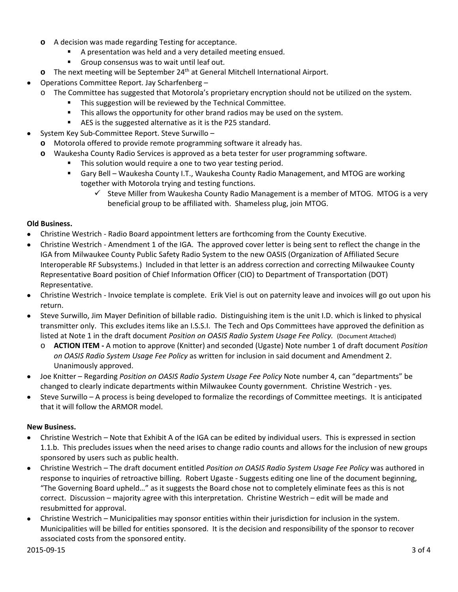- **o** A decision was made regarding Testing for acceptance.
	- A presentation was held and a very detailed meeting ensued.
	- Group consensus was to wait until leaf out.
- **o** The next meeting will be September 24<sup>th</sup> at General Mitchell International Airport.
- Operations Committee Report. Jay Scharfenberg
	- o The Committee has suggested that Motorola's proprietary encryption should not be utilized on the system.
		- **This suggestion will be reviewed by the Technical Committee.**
		- **This allows the opportunity for other brand radios may be used on the system.**
		- AES is the suggested alternative as it is the P25 standard.
	- System Key Sub‐Committee Report. Steve Surwillo –

**o** Motorola offered to provide remote programming software it already has.

- **o** Waukesha County Radio Services is approved as a beta tester for user programming software.
	- This solution would require a one to two year testing period.
	- Gary Bell Waukesha County I.T., Waukesha County Radio Management, and MTOG are working together with Motorola trying and testing functions.
		- $\checkmark$  Steve Miller from Waukesha County Radio Management is a member of MTOG. MTOG is a very beneficial group to be affiliated with. Shameless plug, join MTOG.

#### **Old Business.**

- Christine Westrich ‐ Radio Board appointment letters are forthcoming from the County Executive.
- Christine Westrich Amendment 1 of the IGA. The approved cover letter is being sent to reflect the change in the IGA from Milwaukee County Public Safety Radio System to the new OASIS (Organization of Affiliated Secure Interoperable RF Subsystems.) Included in that letter is an address correction and correcting Milwaukee County Representative Board position of Chief Information Officer (CIO) to Department of Transportation (DOT) Representative.
- Christine Westrich ‐ Invoice template is complete. Erik Viel is out on paternity leave and invoices will go out upon his return.
- Steve Surwillo, Jim Mayer Definition of billable radio. Distinguishing item is the unit I.D. which is linked to physical transmitter only. This excludes items like an I.S.S.I. The Tech and Ops Committees have approved the definition as listed at Note 1 in the draft document *Position on OASIS Radio System Usage Fee Policy.* (Document Attached)
	- o **ACTION ITEM ‐** A motion to approve (Knitter) and seconded (Ugaste) Note number 1 of draft document *Position on OASIS Radio System Usage Fee Policy* as written for inclusion in said document and Amendment 2. Unanimously approved.
- Joe Knitter Regarding *Position on OASIS Radio System Usage Fee Policy* Note number 4, can "departments" be changed to clearly indicate departments within Milwaukee County government. Christine Westrich ‐ yes.
- Steve Surwillo A process is being developed to formalize the recordings of Committee meetings. It is anticipated that it will follow the ARMOR model.

#### **New Business.**

- Christine Westrich Note that Exhibit A of the IGA can be edited by individual users. This is expressed in section 1.1.b. This precludes issues when the need arises to change radio counts and allows for the inclusion of new groups sponsored by users such as public health.
- Christine Westrich The draft document entitled *Position on OASIS Radio System Usage Fee Policy* was authored in response to inquiries of retroactive billing. Robert Ugaste ‐ Suggests editing one line of the document beginning, "The Governing Board upheld…" as it suggests the Board chose not to completely eliminate fees as this is not correct. Discussion – majority agree with this interpretation. Christine Westrich – edit will be made and resubmitted for approval.
- Christine Westrich Municipalities may sponsor entities within their jurisdiction for inclusion in the system. Municipalities will be billed for entities sponsored. It is the decision and responsibility of the sponsor to recover associated costs from the sponsored entity.

### 2015‐09‐15 3 of 4